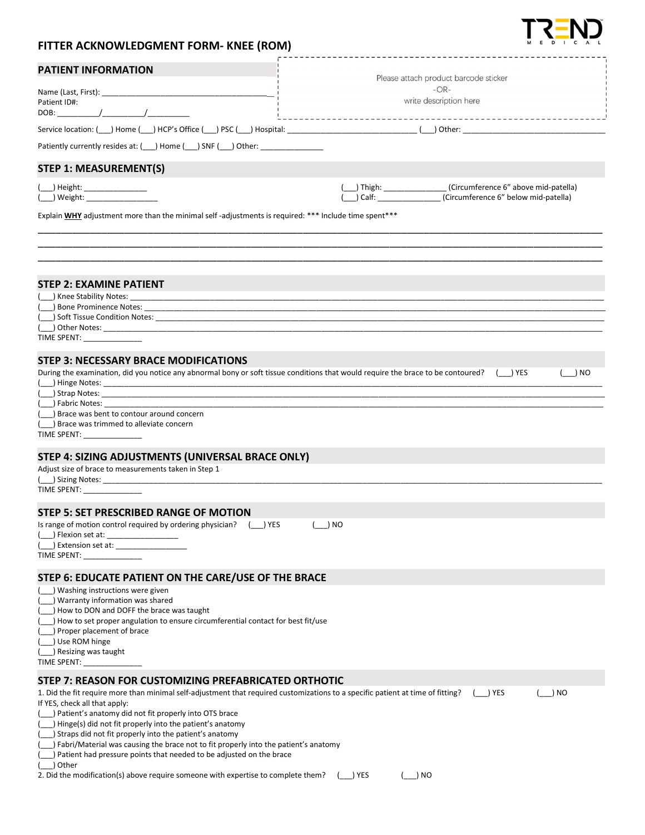| FITTER ACKNOWLEDGMENT FORM- KNEE (ROM)                                                                                                                                                                                         | --------------                        |
|--------------------------------------------------------------------------------------------------------------------------------------------------------------------------------------------------------------------------------|---------------------------------------|
| <b>PATIENT INFORMATION</b>                                                                                                                                                                                                     | Please attach product barcode sticker |
|                                                                                                                                                                                                                                | $-OR-$                                |
| Patient ID#:                                                                                                                                                                                                                   | write description here                |
|                                                                                                                                                                                                                                |                                       |
|                                                                                                                                                                                                                                |                                       |
| Patiently currently resides at: (__) Home (__) SNF (__) Other: _________________                                                                                                                                               |                                       |
| <b>STEP 1: MEASUREMENT(S)</b>                                                                                                                                                                                                  |                                       |
| ( ___ ) Height: _________________                                                                                                                                                                                              | (Circumference 6" above mid-patella)  |
|                                                                                                                                                                                                                                |                                       |
| Explain WHY adjustment more than the minimal self-adjustments is required: *** Include time spent***                                                                                                                           |                                       |
|                                                                                                                                                                                                                                |                                       |
|                                                                                                                                                                                                                                |                                       |
|                                                                                                                                                                                                                                |                                       |
| <b>STEP 2: EXAMINE PATIENT</b><br>( ) Knee Stability Notes:                                                                                                                                                                    |                                       |
|                                                                                                                                                                                                                                |                                       |
|                                                                                                                                                                                                                                |                                       |
| $(\_)$ Other Notes:                                                                                                                                                                                                            |                                       |
| TIME SPENT: _______________                                                                                                                                                                                                    |                                       |
| <b>STEP 3: NECESSARY BRACE MODIFICATIONS</b>                                                                                                                                                                                   |                                       |
| During the examination, did you notice any abnormal bony or soft tissue conditions that would require the brace to be contoured? (__) YES                                                                                      | $($ $) NO$                            |
|                                                                                                                                                                                                                                |                                       |
| (completely of the Notes: completely and the second complete state of the second control of the second control of the second control of the second control of the second control of the second control of the second control o |                                       |
| ( ) Fabric Notes:                                                                                                                                                                                                              |                                       |
| () Brace was bent to contour around concern                                                                                                                                                                                    |                                       |
| ) Brace was trimmed to alleviate concern                                                                                                                                                                                       |                                       |
| TIME SPENT: _______________                                                                                                                                                                                                    |                                       |
| STEP 4: SIZING ADJUSTMENTS (UNIVERSAL BRACE ONLY)                                                                                                                                                                              |                                       |
| Adjust size of brace to measurements taken in Step 1                                                                                                                                                                           |                                       |
| (a) Sizing Notes: (b) Sizing Notes:                                                                                                                                                                                            |                                       |
| TIME SPENT:                                                                                                                                                                                                                    |                                       |
| STEP 5: SET PRESCRIBED RANGE OF MOTION                                                                                                                                                                                         |                                       |
| Is range of motion control required by ordering physician? ( ) YES                                                                                                                                                             | ) NO                                  |
|                                                                                                                                                                                                                                |                                       |
| TIME SPENT:                                                                                                                                                                                                                    |                                       |
| STEP 6: EDUCATE PATIENT ON THE CARE/USE OF THE BRACE                                                                                                                                                                           |                                       |
| ) Washing instructions were given                                                                                                                                                                                              |                                       |
| Warranty information was shared                                                                                                                                                                                                |                                       |
| How to DON and DOFF the brace was taught                                                                                                                                                                                       |                                       |
| ) How to set proper angulation to ensure circumferential contact for best fit/use                                                                                                                                              |                                       |
| ) Proper placement of brace                                                                                                                                                                                                    |                                       |
| $($ $)$ Use ROM hinge                                                                                                                                                                                                          |                                       |
| Resizing was taught<br>TIME SPENT:                                                                                                                                                                                             |                                       |
|                                                                                                                                                                                                                                |                                       |
| STEP 7: REASON FOR CUSTOMIZING PREFABRICATED ORTHOTIC<br>1. Did the fit require more than minimal self-adjustment that required customizations to a specific patient at time of fitting?                                       | $( )$ YES<br>) NO                     |
| If YES, check all that apply:                                                                                                                                                                                                  |                                       |
| Patient's anatomy did not fit properly into OTS brace                                                                                                                                                                          |                                       |
| Hinge(s) did not fit properly into the patient's anatomy                                                                                                                                                                       |                                       |
| ) Straps did not fit properly into the patient's anatomy                                                                                                                                                                       |                                       |
| Fabri/Material was causing the brace not to fit properly into the patient's anatomy                                                                                                                                            |                                       |
| ) Patient had pressure points that needed to be adjusted on the brace<br>) Other                                                                                                                                               |                                       |
|                                                                                                                                                                                                                                |                                       |

| 2. Did the modification(s) above require someone with expertise to complete them? ( | $\sqrt{ }$ YES | $\left(\begin{array}{c}\right)$ NO |
|-------------------------------------------------------------------------------------|----------------|------------------------------------|
|-------------------------------------------------------------------------------------|----------------|------------------------------------|